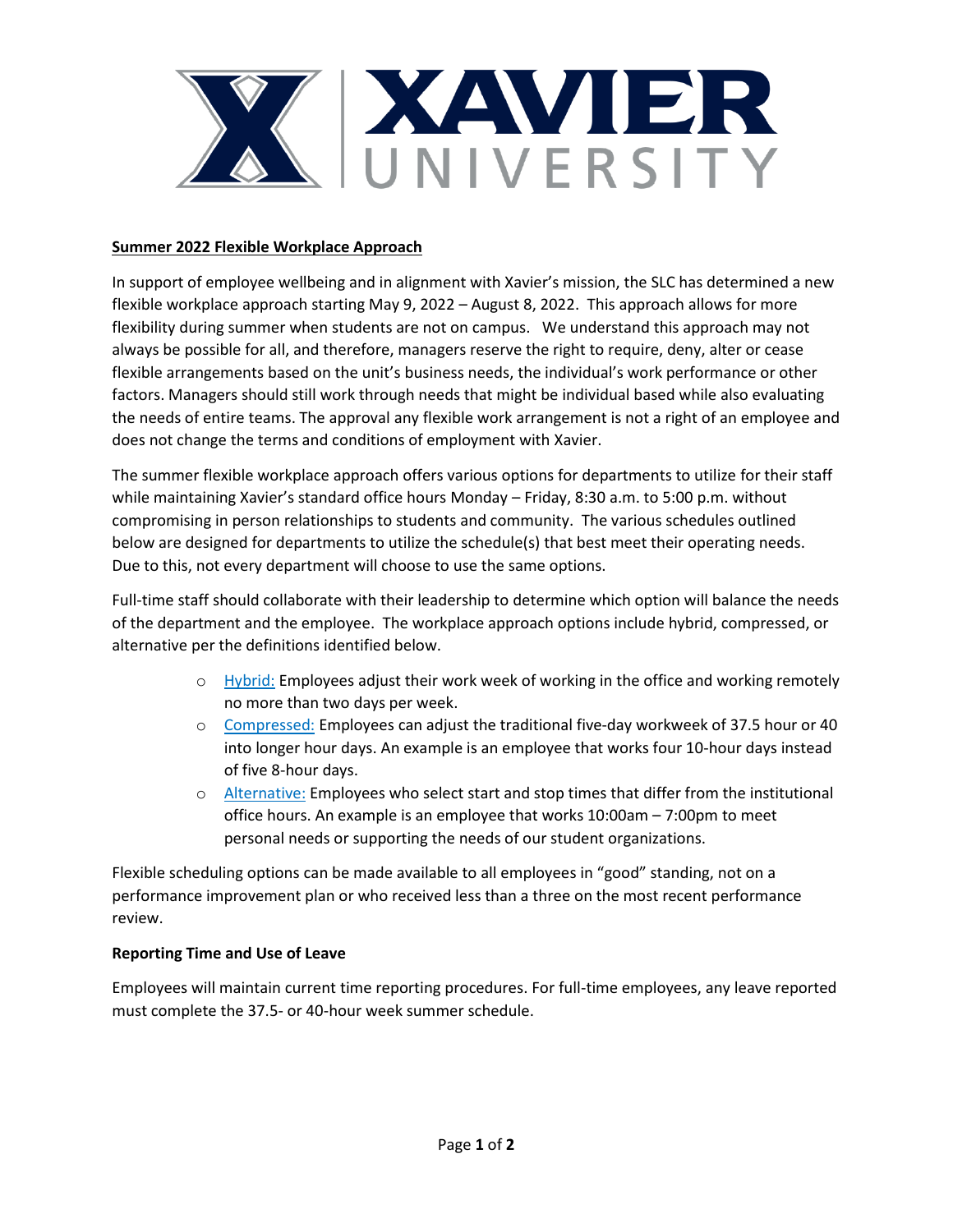

## **Summer 2022 Flexible Workplace Approach**

In support of employee wellbeing and in alignment with Xavier's mission, the SLC has determined a new flexible workplace approach starting May 9, 2022 – August 8, 2022. This approach allows for more flexibility during summer when students are not on campus. We understand this approach may not always be possible for all, and therefore, managers reserve the right to require, deny, alter or cease flexible arrangements based on the unit's business needs, the individual's work performance or other factors. Managers should still work through needs that might be individual based while also evaluating the needs of entire teams. The approval any flexible work arrangement is not a right of an employee and does not change the terms and conditions of employment with Xavier.

The summer flexible workplace approach offers various options for departments to utilize for their staff while maintaining Xavier's standard office hours Monday – Friday, 8:30 a.m. to 5:00 p.m. without compromising in person relationships to students and community. The various schedules outlined below are designed for departments to utilize the schedule(s) that best meet their operating needs. Due to this, not every department will choose to use the same options.

Full-time staff should collaborate with their leadership to determine which option will balance the needs of the department and the employee. The workplace approach options include hybrid, compressed, or alternative per the definitions identified below.

- $\circ$  Hybrid: Employees adjust their work week of working in the office and working remotely no more than two days per week.
- o Compressed: Employees can adjust the traditional five-day workweek of 37.5 hour or 40 into longer hour days. An example is an employee that works four 10-hour days instead of five 8-hour days.
- o Alternative: Employees who select start and stop times that differ from the institutional office hours. An example is an employee that works 10:00am – 7:00pm to meet personal needs or supporting the needs of our student organizations.

Flexible scheduling options can be made available to all employees in "good" standing, not on a performance improvement plan or who received less than a three on the most recent performance review.

## **Reporting Time and Use of Leave**

Employees will maintain current time reporting procedures. For full-time employees, any leave reported must complete the 37.5- or 40-hour week summer schedule.